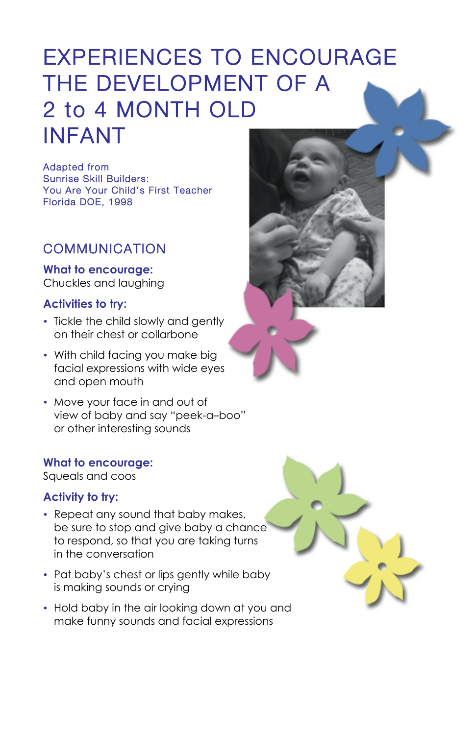# EXPERIENCES TO ENCOURAGE THE DEVELOPMENT OF A 2 to 4 MONTH OLD INFANT

Adapted from Sunrise Skill Builders: You Are Your Child's First Teacher Florida DOE, 1998

# COMMUNICATION

**What to encourage:** Chuckles and laughing

## **Activities to try:**

- Tickle the child slowly and gently on their chest or collarbone
- With child facing you make big facial expressions with wide eyes and open mouth
- Move your face in and out of view of baby and say "peek-a–boo" or other interesting sounds

#### **What to encourage:**

Squeals and coos

#### **Activity to try:**

• Repeat any sound that baby makes, be sure to stop and give baby a chance to respond, so that you are taking turns





in the conversation

- Pat baby's chest or lips gently while baby is making sounds or crying
- Hold baby in the air looking down at you and make funny sounds and facial expressions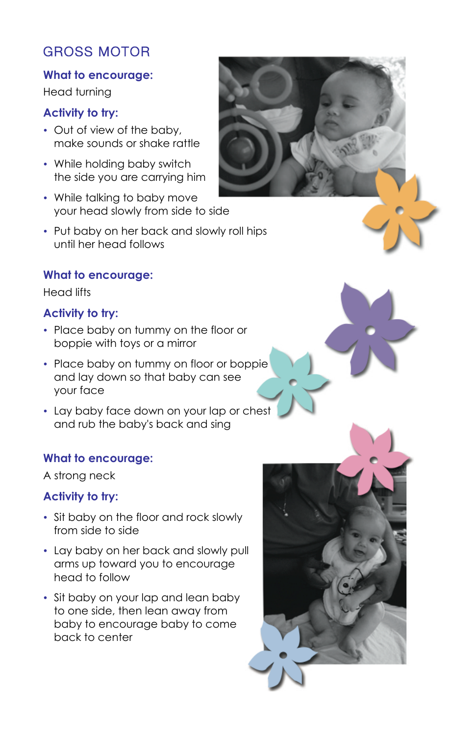# GROSS MOTOR

## **What to encourage:**

Head turning

## **Activity to try:**

- Out of view of the baby, make sounds or shake rattle
- While holding baby switch the side you are carrying him
- While talking to baby move your head slowly from side to side
- Put baby on her back and slowly roll hips until her head follows

#### **What to encourage:**

Head lifts

#### **Activity to try:**

- Place baby on tummy on the floor or boppie with toys or a mirror
- Place baby on tummy on floor or boppie and lay down so that baby can see your face
- Lay baby face down on your lap or chest and rub the baby's back and sing

#### **What to encourage:**

A strong neck

#### **Activity to try:**

• Sit baby on the floor and rock slowly from side to side



- Lay baby on her back and slowly pull arms up toward you to encourage head to follow
- Sit baby on your lap and lean baby to one side, then lean away from baby to encourage baby to come back to center